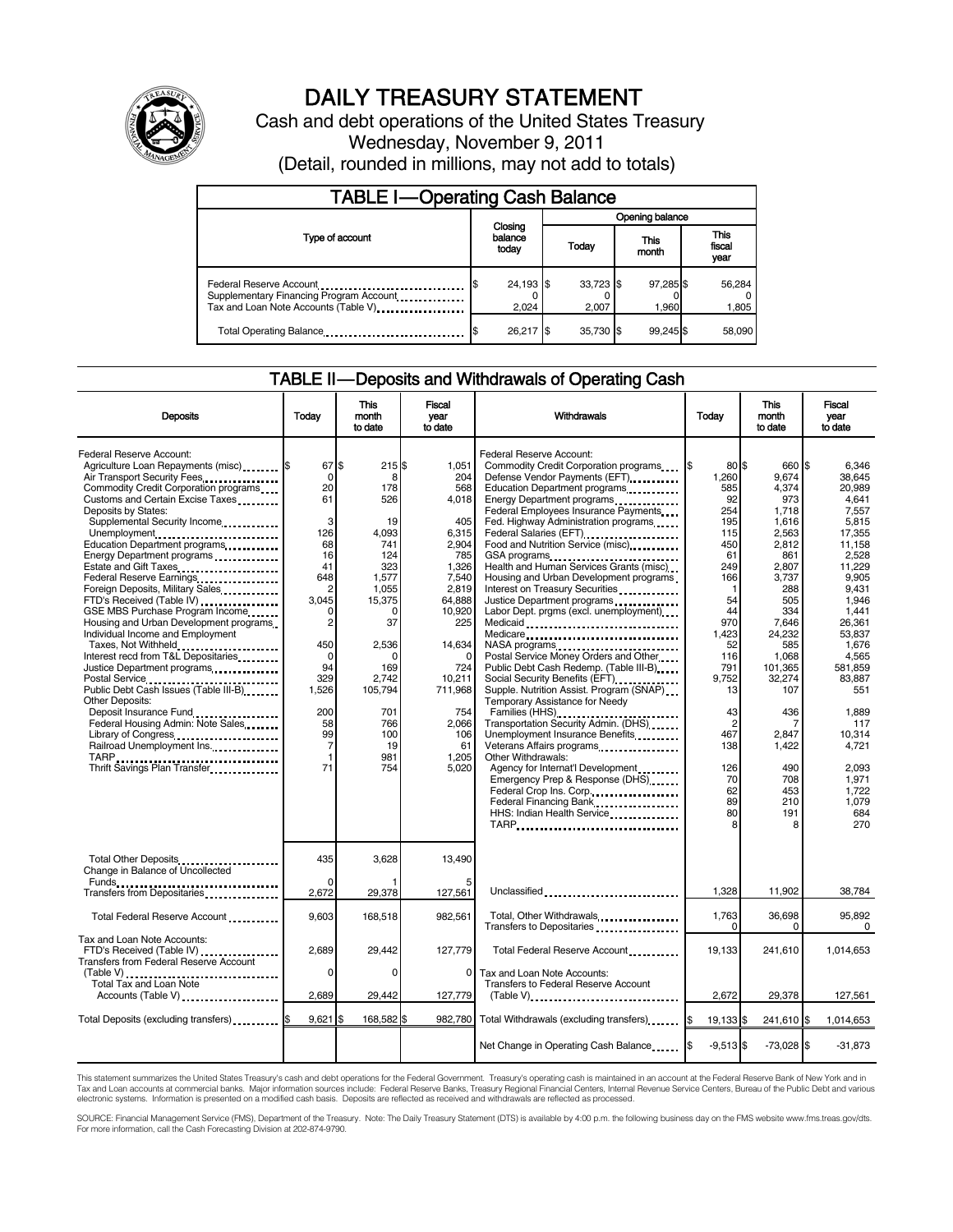

# DAILY TREASURY STATEMENT

Cash and debt operations of the United States Treasury Wednesday, November 9, 2011 (Detail, rounded in millions, may not add to totals)

| <b>TABLE I-Operating Cash Balance</b>                                                                       |  |                             |                 |                    |  |                    |  |                               |
|-------------------------------------------------------------------------------------------------------------|--|-----------------------------|-----------------|--------------------|--|--------------------|--|-------------------------------|
|                                                                                                             |  |                             | Opening balance |                    |  |                    |  |                               |
| Type of account                                                                                             |  | Closing<br>balance<br>today |                 | Today              |  | This<br>month      |  | <b>This</b><br>fiscal<br>year |
| Federal Reserve Account<br>Supplementary Financing Program Account<br>Tax and Loan Note Accounts (Table V). |  | 24,193 \$<br>2,024          |                 | 33,723 \$<br>2.007 |  | 97,285 \$<br>1.960 |  | 56,284<br>1,805               |
| Total Operating Balance                                                                                     |  | 26,217 \$                   |                 | 35.730 \$          |  | 99.245             |  | 58,090                        |

### TABLE II — Deposits and Withdrawals of Operating Cash

| <b>Deposits</b>                                                                                                                                                                                                                                                                                                                                                                                                                                                                                                                                                                                                                                                                                                                                                                                                                                                                                                                                                             | Today                                                                                                                                                                                                             | <b>This</b><br>month<br>to date                                                                                                                                                      | <b>Fiscal</b><br>vear<br>to date                                                                                                                                                                                    | Withdrawals                                                                                                                                                                                                                                                                                                                                                                                                                                                                                                                                                                                                                                                                                                                                                                                                                                                                                                                                                                                                                                                                     | Today                                                                                                                                                                                                                 | <b>This</b><br>month<br>to date                                                                                                                                                                                                                        | <b>Fiscal</b><br>vear<br>to date                                                                                                                                                                                                                                                       |
|-----------------------------------------------------------------------------------------------------------------------------------------------------------------------------------------------------------------------------------------------------------------------------------------------------------------------------------------------------------------------------------------------------------------------------------------------------------------------------------------------------------------------------------------------------------------------------------------------------------------------------------------------------------------------------------------------------------------------------------------------------------------------------------------------------------------------------------------------------------------------------------------------------------------------------------------------------------------------------|-------------------------------------------------------------------------------------------------------------------------------------------------------------------------------------------------------------------|--------------------------------------------------------------------------------------------------------------------------------------------------------------------------------------|---------------------------------------------------------------------------------------------------------------------------------------------------------------------------------------------------------------------|---------------------------------------------------------------------------------------------------------------------------------------------------------------------------------------------------------------------------------------------------------------------------------------------------------------------------------------------------------------------------------------------------------------------------------------------------------------------------------------------------------------------------------------------------------------------------------------------------------------------------------------------------------------------------------------------------------------------------------------------------------------------------------------------------------------------------------------------------------------------------------------------------------------------------------------------------------------------------------------------------------------------------------------------------------------------------------|-----------------------------------------------------------------------------------------------------------------------------------------------------------------------------------------------------------------------|--------------------------------------------------------------------------------------------------------------------------------------------------------------------------------------------------------------------------------------------------------|----------------------------------------------------------------------------------------------------------------------------------------------------------------------------------------------------------------------------------------------------------------------------------------|
| Federal Reserve Account:<br>Agriculture Loan Repayments (misc) \$<br>Air Transport Security Fees<br>Commodity Credit Corporation programs<br>Customs and Certain Excise Taxes<br>Deposits by States:<br>Supplemental Security Income<br>Unemployment<br>Education Department programs<br>Energy Department programs<br>Federal Reserve Earnings<br>Foreign Deposits, Military Sales<br>FTD's Received (Table IV)<br>GSE MBS Purchase Program Income<br>Housing and Urban Development programs<br>Individual Income and Employment<br>Taxes, Not Withheld<br>Interest recd from T&L Depositaries<br>Justice Department programs<br>Postal Service<br>Public Debt Cash Issues (Table III-B)<br><b>Other Deposits:</b><br>Deposit Insurance Fund<br>exercise in the Secret Secret Insurance Punchase Secret Insurance Punchase Insurance<br>Federal Housing Admin: Note Sales<br>Library of Congress<br>Railroad Unemployment Ins.<br>TARP<br><br>Thrift Savings Plan Transfer | 67 \$<br>$\mathbf 0$<br>20<br>61<br>3<br>126<br>68<br>16<br>41<br>648<br>2<br>3.045<br>0<br>$\overline{c}$<br>450<br>$\mathbf 0$<br>94<br>329<br>1,526<br>200<br>58<br>99<br>$\overline{7}$<br>$\mathbf{1}$<br>71 | 215S<br>8<br>178<br>526<br>19<br>4,093<br>741<br>124<br>323<br>1,577<br>1,055<br>15,375<br>0<br>37<br>2,536<br>n<br>169<br>2,742<br>105,794<br>701<br>766<br>100<br>19<br>981<br>754 | 1,051<br>204<br>568<br>4.018<br>405<br>6,315<br>2.904<br>785<br>1,326<br>7,540<br>2,819<br>64,888<br>10,920<br>225<br>14,634<br>$\Omega$<br>724<br>10,211<br>711,968<br>754<br>2,066<br>106<br>61<br>1.205<br>5,020 | Federal Reserve Account:<br>Commodity Credit Corporation programs<br>Defense Vendor Payments (EFT)<br>Education Department programs<br>Energy Department programs<br><br>Federal Employees Insurance Payments<br>Fed. Highway Administration programs<br>Federal Salaries (EFT)<br>Federal Salaries (EFT)<br>Food and Nutrition Service (misc)<br>GSA programs<br>Health and Human Services Grants (misc)<br>Housing and Urban Development programs<br>Interest on Treasury Securities<br>Justice Department programs<br>Labor Dept. prgms (excl. unemployment)<br>Medicare<br>Postal Service Money Orders and Other<br>Public Debt Cash Redemp. (Table III-B)<br>Social Security Benefits (EFT)<br>Supple. Nutrition Assist. Program (SNAP)<br>Temporary Assistance for Needy<br>Transportation Security Admin. (DHS)<br>Unemployment Insurance Benefits<br>Veterans Affairs programs<br>Other Withdrawals:<br>Agency for Internat'l Development<br>Emergency Prep & Response (DHS)<br>Federal Crop Ins. Corp.<br>Federal Financing Bank<br>HHS: Indian Health Service<br>TARP | 80 \$<br>1,260<br>585<br>92<br>254<br>195<br>115<br>450<br>61<br>249<br>166<br>-1<br>54<br>44<br>970<br>1,423<br>52<br>116<br>791<br>9.752<br>13<br>43<br>$\overline{c}$<br>467<br>138<br>126<br>70<br>62<br>89<br>80 | 660 \$<br>9,674<br>4,374<br>973<br>1.718<br>1,616<br>2,563<br>2,812<br>861<br>2,807<br>3,737<br>288<br>505<br>334<br>7,646<br>24,232<br>585<br>1,068<br>101,365<br>32,274<br>107<br>436<br>7<br>2,847<br>1,422<br>490<br>708<br>453<br>210<br>191<br>8 | 6,346<br>38.645<br>20.989<br>4.641<br>7.557<br>5,815<br>17.355<br>11.158<br>2,528<br>11,229<br>9.905<br>9.431<br>1.946<br>1.441<br>26,361<br>53,837<br>1.676<br>4.565<br>581,859<br>83.887<br>551<br>1.889<br>117<br>10.314<br>4,721<br>2,093<br>1.971<br>1.722<br>1.079<br>684<br>270 |
| Total Other Deposits<br>Change in Balance of Uncollected                                                                                                                                                                                                                                                                                                                                                                                                                                                                                                                                                                                                                                                                                                                                                                                                                                                                                                                    | 435                                                                                                                                                                                                               | 3,628                                                                                                                                                                                | 13,490                                                                                                                                                                                                              |                                                                                                                                                                                                                                                                                                                                                                                                                                                                                                                                                                                                                                                                                                                                                                                                                                                                                                                                                                                                                                                                                 |                                                                                                                                                                                                                       |                                                                                                                                                                                                                                                        |                                                                                                                                                                                                                                                                                        |
| Transfers from Depositaries                                                                                                                                                                                                                                                                                                                                                                                                                                                                                                                                                                                                                                                                                                                                                                                                                                                                                                                                                 | 2,672                                                                                                                                                                                                             | 29,378                                                                                                                                                                               | 127,561                                                                                                                                                                                                             | Unclassified                                                                                                                                                                                                                                                                                                                                                                                                                                                                                                                                                                                                                                                                                                                                                                                                                                                                                                                                                                                                                                                                    | 1,328                                                                                                                                                                                                                 | 11,902                                                                                                                                                                                                                                                 | 38,784                                                                                                                                                                                                                                                                                 |
| Total Federal Reserve Account                                                                                                                                                                                                                                                                                                                                                                                                                                                                                                                                                                                                                                                                                                                                                                                                                                                                                                                                               | 9.603                                                                                                                                                                                                             | 168.518                                                                                                                                                                              | 982.561                                                                                                                                                                                                             | Total, Other Withdrawals                                                                                                                                                                                                                                                                                                                                                                                                                                                                                                                                                                                                                                                                                                                                                                                                                                                                                                                                                                                                                                                        | 1,763<br>$\Omega$                                                                                                                                                                                                     | 36,698<br>$\Omega$                                                                                                                                                                                                                                     | 95.892<br>$\Omega$                                                                                                                                                                                                                                                                     |
| Tax and Loan Note Accounts:<br>FTD's Received (Table IV)<br>Transfers from Federal Reserve Account                                                                                                                                                                                                                                                                                                                                                                                                                                                                                                                                                                                                                                                                                                                                                                                                                                                                          | 2,689                                                                                                                                                                                                             | 29,442                                                                                                                                                                               | 127,779                                                                                                                                                                                                             | Total Federal Reserve Account                                                                                                                                                                                                                                                                                                                                                                                                                                                                                                                                                                                                                                                                                                                                                                                                                                                                                                                                                                                                                                                   | 19,133                                                                                                                                                                                                                | 241,610                                                                                                                                                                                                                                                | 1,014,653                                                                                                                                                                                                                                                                              |
| (Table V)<br>Total Tax and Loan Note<br>Accounts (Table V)                                                                                                                                                                                                                                                                                                                                                                                                                                                                                                                                                                                                                                                                                                                                                                                                                                                                                                                  | $\Omega$<br>2,689                                                                                                                                                                                                 | $\Omega$<br>29,442                                                                                                                                                                   | 0<br>127,779                                                                                                                                                                                                        | Tax and Loan Note Accounts:<br><b>Transfers to Federal Reserve Account</b><br>$(Table V)$                                                                                                                                                                                                                                                                                                                                                                                                                                                                                                                                                                                                                                                                                                                                                                                                                                                                                                                                                                                       | 2,672                                                                                                                                                                                                                 | 29,378                                                                                                                                                                                                                                                 | 127,561                                                                                                                                                                                                                                                                                |
| Total Deposits (excluding transfers) <b>S</b>                                                                                                                                                                                                                                                                                                                                                                                                                                                                                                                                                                                                                                                                                                                                                                                                                                                                                                                               | 9,621                                                                                                                                                                                                             | 168,582 \$                                                                                                                                                                           |                                                                                                                                                                                                                     | 982,780 Total Withdrawals (excluding transfers)                                                                                                                                                                                                                                                                                                                                                                                                                                                                                                                                                                                                                                                                                                                                                                                                                                                                                                                                                                                                                                 | 19,133 \$                                                                                                                                                                                                             | 241,610 \$                                                                                                                                                                                                                                             | 1.014.653                                                                                                                                                                                                                                                                              |
|                                                                                                                                                                                                                                                                                                                                                                                                                                                                                                                                                                                                                                                                                                                                                                                                                                                                                                                                                                             |                                                                                                                                                                                                                   |                                                                                                                                                                                      |                                                                                                                                                                                                                     | Net Change in Operating Cash Balance                                                                                                                                                                                                                                                                                                                                                                                                                                                                                                                                                                                                                                                                                                                                                                                                                                                                                                                                                                                                                                            | $-9,513$ \$                                                                                                                                                                                                           | $-73,028$ \$                                                                                                                                                                                                                                           | $-31,873$                                                                                                                                                                                                                                                                              |

This statement summarizes the United States Treasury's cash and debt operations for the Federal Government. Treasury's operating cash is maintained in an account at the Federal Reserve Bank of New York and in<br>Tax and Loan

SOURCE: Financial Management Service (FMS), Department of the Treasury. Note: The Daily Treasury Statement (DTS) is available by 4:00 p.m. the following business day on the FMS website www.fms.treas.gov/dts.<br>For more infor